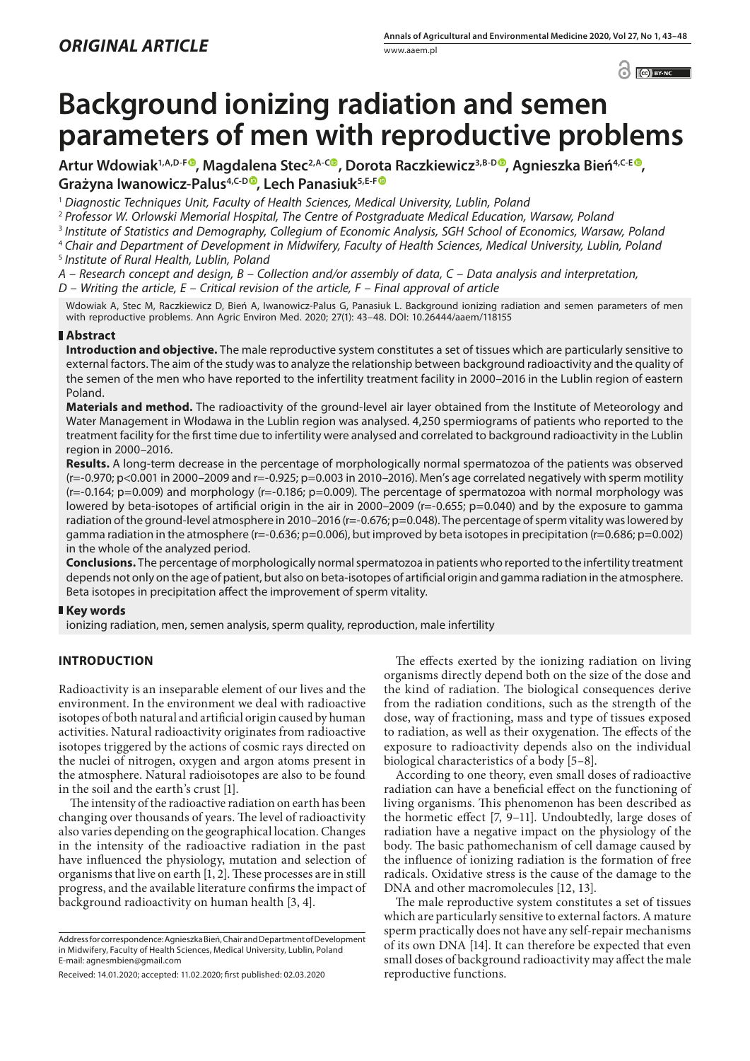$\odot$   $\odot$  BY-NC

# **Background ionizing radiation and semen parameters of men with reproductive problems**

**Artur Wdowiak1,A,D-F [,](https://orcid.org/0000-0002-7011-2345) Magdalena Stec2,A-C , Dorota Raczkiewicz3,B-[D](https://orcid.org/0000-0003-3517-6711) , Agnieszka Bień4,C-E , Grażyna Iwanowicz-Palus4,C-D , Lech Panasiuk5,E-[F](https://orcid.org/0000-0001-6210-2887)**

<sup>1</sup> *Diagnostic Techniques Unit, Faculty of Health Sciences, Medical University, Lublin, Poland*

<sup>2</sup> *Professor W. Orlowski Memorial Hospital, The Centre of Postgraduate Medical Education, Warsaw, Poland*

<sup>3</sup> *Institute of Statistics and Demography, Collegium of Economic Analysis, SGH School of Economics, Warsaw, Poland*

<sup>4</sup> *Chair and Department of Development in Midwifery, Faculty of Health Sciences, Medical University, Lublin, Poland*

<sup>5</sup> *Institute of Rural Health, Lublin, Poland*

*A – Research concept and design, B – Collection and/or assembly of data, C – Data analysis and interpretation, D – Writing the article, E – Critical revision of the article, F – Final approval of article*

Wdowiak A, Stec M, Raczkiewicz D, Bień A, Iwanowicz-Palus G, Panasiuk L. Background ionizing radiation and semen parameters of men with reproductive problems. Ann Agric Environ Med. 2020; 27(1): 43–48. DOI: 10.26444/aaem/118155

# **Abstract**

**Introduction and objective.** The male reproductive system constitutes a set of tissues which are particularly sensitive to external factors. The aim of the study was to analyze the relationship between background radioactivity and the quality of the semen of the men who have reported to the infertility treatment facility in 2000–2016 in the Lublin region of eastern Poland.

**Materials and method.** The radioactivity of the ground-level air layer obtained from the Institute of Meteorology and Water Management in Włodawa in the Lublin region was analysed. 4,250 spermiograms of patients who reported to the treatment facility for the first time due to infertility were analysed and correlated to background radioactivity in the Lublin region in 2000–2016.

**Results.** A long-term decrease in the percentage of morphologically normal spermatozoa of the patients was observed  $(r=-0.970; p<0.001$  in 2000–2009 and  $r=-0.925; p=0.003$  in 2010–2016). Men's age correlated negatively with sperm motility (r=-0.164; p=0.009) and morphology (r=-0.186; p=0.009). The percentage of spermatozoa with normal morphology was lowered by beta-isotopes of artificial origin in the air in 2000–2009 (r=-0.655; p=0.040) and by the exposure to gamma radiation of the ground-level atmosphere in 2010-2016 (r=-0.676; p=0.048). The percentage of sperm vitality was lowered by gamma radiation in the atmosphere (r=-0.636; p=0.006), but improved by beta isotopes in precipitation (r=0.686; p=0.002) in the whole of the analyzed period.

**Conclusions.** The percentage of morphologically normal spermatozoa in patients who reported to the infertility treatment depends not only on the age of patient, but also on beta-isotopes of artificial origin and gamma radiation in the atmosphere. Beta isotopes in precipitation affect the improvement of sperm vitality.

# **Key words**

ionizing radiation, men, semen analysis, sperm quality, reproduction, male infertility

# **INTRODUCTION**

Radioactivity is an inseparable element of our lives and the environment. In the environment we deal with radioactive isotopes of both natural and artificial origin caused by human activities. Natural radioactivity originates from radioactive isotopes triggered by the actions of cosmic rays directed on the nuclei of nitrogen, oxygen and argon atoms present in the atmosphere. Natural radioisotopes are also to be found in the soil and the earth's crust [1].

The intensity of the radioactive radiation on earth has been changing over thousands of years. The level of radioactivity also varies depending on the geographical location. Changes in the intensity of the radioactive radiation in the past have influenced the physiology, mutation and selection of organisms that live on earth [1, 2]. These processes are in still progress, and the available literature confirms the impact of background radioactivity on human health [3, 4].

The effects exerted by the ionizing radiation on living organisms directly depend both on the size of the dose and the kind of radiation. The biological consequences derive from the radiation conditions, such as the strength of the dose, way of fractioning, mass and type of tissues exposed to radiation, as well as their oxygenation. The effects of the exposure to radioactivity depends also on the individual biological characteristics of a body [5–8].

According to one theory, even small doses of radioactive radiation can have a beneficial effect on the functioning of living organisms. This phenomenon has been described as the hormetic effect [7, 9–11]. Undoubtedly, large doses of radiation have a negative impact on the physiology of the body. The basic pathomechanism of cell damage caused by the influence of ionizing radiation is the formation of free radicals. Oxidative stress is the cause of the damage to the DNA and other macromolecules [12, 13].

The male reproductive system constitutes a set of tissues which are particularly sensitive to external factors. A mature sperm practically does not have any self-repair mechanisms of its own DNA [14]. It can therefore be expected that even small doses of background radioactivity may affect the male reproductive functions.

Address for correspondence: Agnieszka Bień, Chair and Department of Development in Midwifery, Faculty of Health Sciences, Medical University, Lublin, Poland E-mail: agnesmbien@gmail.com

Received: 14.01.2020; accepted: 11.02.2020; first published: 02.03.2020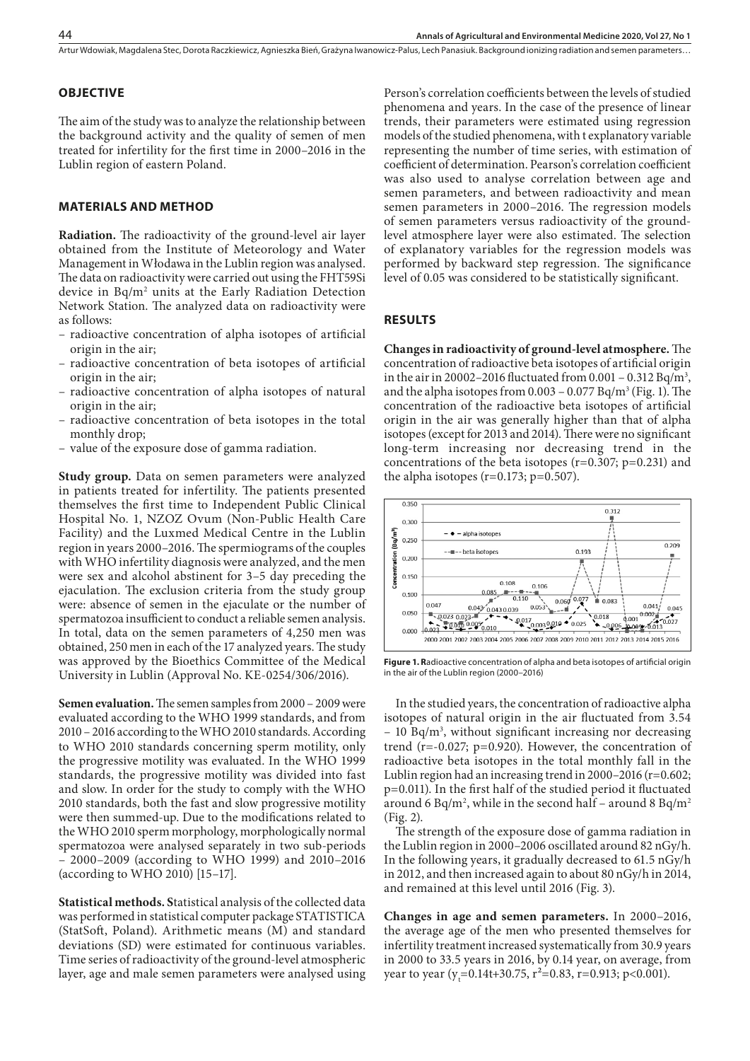Artur Wdowiak, Magdalena Stec, Dorota Raczkiewicz, Agnieszka Bień, Grażyna Iwanowicz-Palus, Lech Panasiuk . Background ionizing radiation and semen parameters…

#### **OBJECTIVE**

The aim of the study was to analyze the relationship between the background activity and the quality of semen of men treated for infertility for the first time in 2000–2016 in the Lublin region of eastern Poland.

### **MATERIALS AND METHOD**

**Radiation.** The radioactivity of the ground-level air layer obtained from the Institute of Meteorology and Water Management in Włodawa in the Lublin region was analysed. The data on radioactivity were carried out using the FHT59Si device in Bq/m2 units at the Early Radiation Detection Network Station. The analyzed data on radioactivity were as follows:

- radioactive concentration of alpha isotopes of artificial origin in the air;
- radioactive concentration of beta isotopes of artificial origin in the air;
- radioactive concentration of alpha isotopes of natural origin in the air;
- radioactive concentration of beta isotopes in the total monthly drop;
- value of the exposure dose of gamma radiation.

**Study group.** Data on semen parameters were analyzed in patients treated for infertility. The patients presented themselves the first time to Independent Public Clinical Hospital No. 1, NZOZ Ovum (Non-Public Health Care Facility) and the Luxmed Medical Centre in the Lublin region in years 2000–2016. The spermiograms of the couples with WHO infertility diagnosis were analyzed, and the men were sex and alcohol abstinent for 3–5 day preceding the ejaculation. The exclusion criteria from the study group were: absence of semen in the ejaculate or the number of spermatozoa insufficient to conduct a reliable semen analysis. In total, data on the semen parameters of 4,250 men was obtained, 250 men in each of the 17 analyzed years. The study was approved by the Bioethics Committee of the Medical University in Lublin (Approval No. KE-0254/306/2016).

**Semen evaluation.** The semen samples from 2000 – 2009 were evaluated according to the WHO 1999 standards, and from 2010 – 2016 according to the WHO 2010 standards. According to WHO 2010 standards concerning sperm motility, only the progressive motility was evaluated. In the WHO 1999 standards, the progressive motility was divided into fast and slow. In order for the study to comply with the WHO 2010 standards, both the fast and slow progressive motility were then summed-up. Due to the modifications related to the WHO 2010 sperm morphology, morphologically normal spermatozoa were analysed separately in two sub-periods – 2000–2009 (according to WHO 1999) and 2010–2016 (according to WHO 2010) [15–17].

**Statistical methods. S**tatistical analysis of the collected data was performed in statistical computer package STATISTICA (StatSoft, Poland). Arithmetic means (M) and standard deviations (SD) were estimated for continuous variables. Time series of radioactivity of the ground-level atmospheric layer, age and male semen parameters were analysed using

Person's correlation coefficients between the levels of studied phenomena and years. In the case of the presence of linear trends, their parameters were estimated using regression models of the studied phenomena, with t explanatory variable representing the number of time series, with estimation of coefficient of determination. Pearson's correlation coefficient was also used to analyse correlation between age and semen parameters, and between radioactivity and mean semen parameters in 2000–2016. The regression models of semen parameters versus radioactivity of the groundlevel atmosphere layer were also estimated. The selection of explanatory variables for the regression models was performed by backward step regression. The significance level of 0.05 was considered to be statistically significant.

#### **RESULTS**

**Changes in radioactivity of ground-level atmosphere.** The concentration of radioactive beta isotopes of artificial origin in the air in 20002–2016 fluctuated from  $0.001 - 0.312 \text{ Bq/m}^3$ , and the alpha isotopes from  $0.003 - 0.077$  Bq/m<sup>3</sup> (Fig. 1). The concentration of the radioactive beta isotopes of artificial origin in the air was generally higher than that of alpha isotopes (except for 2013 and 2014). There were no significant long-term increasing nor decreasing trend in the concentrations of the beta isotopes  $(r=0.307; p=0.231)$  and the alpha isotopes ( $r=0.173$ ;  $p=0.507$ ).



**Figure 1. R**adioactive concentration of alpha and beta isotopes of artificial origin in the air of the Lublin region (2000–2016)

In the studied years, the concentration of radioactive alpha isotopes of natural origin in the air fluctuated from 3.54  $-10$  Bq/m<sup>3</sup>, without significant increasing nor decreasing trend (r=-0.027; p=0.920). However, the concentration of radioactive beta isotopes in the total monthly fall in the Lublin region had an increasing trend in 2000–2016 (r=0.602; p=0.011). In the first half of the studied period it fluctuated around 6 Bq/m<sup>2</sup>, while in the second half – around 8 Bq/m<sup>2</sup> (Fig. 2).

The strength of the exposure dose of gamma radiation in the Lublin region in 2000–2006 oscillated around 82 nGy/h. In the following years, it gradually decreased to 61.5 nGy/h in 2012, and then increased again to about 80 nGy/h in 2014, and remained at this level until 2016 (Fig. 3).

**Changes in age and semen parameters.** In 2000–2016, the average age of the men who presented themselves for infertility treatment increased systematically from 30.9 years in 2000 to 33.5 years in 2016, by 0.14 year, on average, from year to year (y<sub>t</sub>=0.14t+30.75, r<sup>2</sup>=0.83, r=0.913; p<0.001).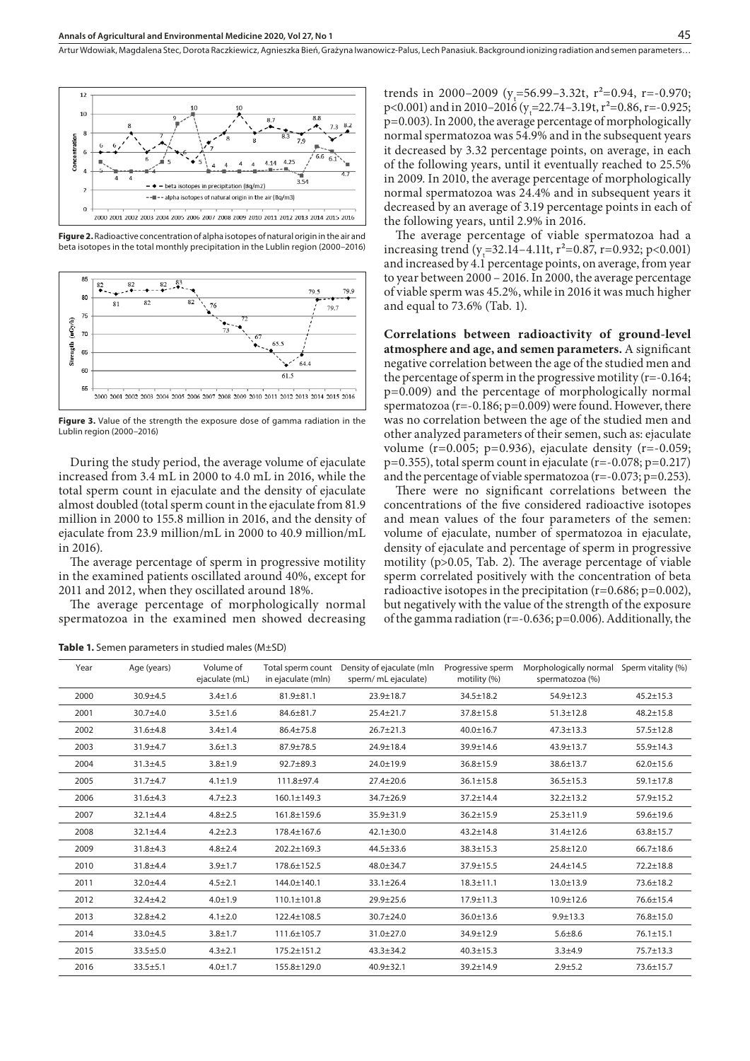

**Figure 2.** Radioactive concentration of alpha isotopes of natural origin in the air and beta isotopes in the total monthly precipitation in the Lublin region (2000–2016)



**Figure 3.** Value of the strength the exposure dose of gamma radiation in the Lublin region (2000–2016)

During the study period, the average volume of ejaculate increased from 3.4 mL in 2000 to 4.0 mL in 2016, while the total sperm count in ejaculate and the density of ejaculate almost doubled (total sperm count in the ejaculate from 81.9 million in 2000 to 155.8 million in 2016, and the density of ejaculate from 23.9 million/mL in 2000 to 40.9 million/mL in 2016).

The average percentage of sperm in progressive motility in the examined patients oscillated around 40%, except for 2011 and 2012, when they oscillated around 18%.

The average percentage of morphologically normal spermatozoa in the examined men showed decreasing

**Table 1.** Semen parameters in studied males (M±SD)

trends in 2000–2009 ( $y=56.99-3.32t$ ,  $r^2=0.94$ ,  $r=-0.970$ ;  $p<0.001$ ) and in 2010–2016 ( $y_t$ =22.74–3.19t,  $r^2$ =0.86, r=-0.925; p=0.003). In 2000, the average percentage of morphologically normal spermatozoa was 54.9% and in the subsequent years it decreased by 3.32 percentage points, on average, in each of the following years, until it eventually reached to 25.5% in 2009. In 2010, the average percentage of morphologically normal spermatozoa was 24.4% and in subsequent years it decreased by an average of 3.19 percentage points in each of the following years, until 2.9% in 2016.

The average percentage of viable spermatozoa had a increasing trend (y<sub>t</sub>=32.14–4.11t, r<sup>2</sup>=0.87, r=0.932; p<0.001) and increased by 4.1 percentage points, on average, from year to year between 2000 – 2016. In 2000, the average percentage of viable sperm was 45.2%, while in 2016 it was much higher and equal to 73.6% (Tab. 1).

**Correlations between radioactivity of ground-level atmosphere and age, and semen parameters.** A significant negative correlation between the age of the studied men and the percentage of sperm in the progressive motility  $(r=-0.164;$ p=0.009) and the percentage of morphologically normal spermatozoa (r=-0.186; p=0.009) were found. However, there was no correlation between the age of the studied men and other analyzed parameters of their semen, such as: ejaculate volume ( $r=0.005$ ;  $p=0.936$ ), ejaculate density ( $r=-0.059$ ;  $p=0.355$ ), total sperm count in ejaculate (r=-0.078; p=0.217) and the percentage of viable spermatozoa (r=-0.073; p=0.253).

There were no significant correlations between the concentrations of the five considered radioactive isotopes and mean values of the four parameters of the semen: volume of ejaculate, number of spermatozoa in ejaculate, density of ejaculate and percentage of sperm in progressive motility (p>0.05, Tab. 2). The average percentage of viable sperm correlated positively with the concentration of beta radioactive isotopes in the precipitation  $(r=0.686; p=0.002)$ , but negatively with the value of the strength of the exposure of the gamma radiation (r=-0.636; p=0.006). Additionally, the

| Year | Age (years)    | Volume of<br>ejaculate (mL) | Total sperm count<br>in ejaculate (mln) | Density of ejaculate (mln<br>sperm/ mL ejaculate) | Progressive sperm<br>motility (%) | Morphologically normal Sperm vitality (%)<br>spermatozoa (%) |                 |  |
|------|----------------|-----------------------------|-----------------------------------------|---------------------------------------------------|-----------------------------------|--------------------------------------------------------------|-----------------|--|
| 2000 | $30.9 + 4.5$   | $3.4 \pm 1.6$               | $81.9 \pm 81.1$                         | $23.9 \pm 18.7$                                   | $34.5 \pm 18.2$                   | $54.9 \pm 12.3$                                              | $45.2 \pm 15.3$ |  |
| 2001 | $30.7 + 4.0$   | $3.5 \pm 1.6$               | $84.6 \pm 81.7$                         | $25.4 \pm 21.7$                                   | $37.8 \pm 15.8$                   | $51.3 \pm 12.8$                                              | $48.2 \pm 15.8$ |  |
| 2002 | $31.6 + 4.8$   | $3.4 \pm 1.4$               | $86.4{\pm}75.8$                         | $26.7 \pm 21.3$                                   | $40.0 \pm 16.7$                   | $47.3 \pm 13.3$                                              | $57.5 \pm 12.8$ |  |
| 2003 | $31.9 + 4.7$   | $3.6 \pm 1.3$               | $87.9 \pm 78.5$                         | $24.9 \pm 18.4$                                   | $39.9 \pm 14.6$                   | $43.9 \pm 13.7$                                              | 55.9±14.3       |  |
| 2004 | $31.3 + 4.5$   | $3.8 + 1.9$                 | $92.7 + 89.3$                           | $24.0 \pm 19.9$                                   | $36.8 \pm 15.9$                   | $38.6 \pm 13.7$                                              | $62.0 \pm 15.6$ |  |
| 2005 | $31.7 + 4.7$   | $4.1 \pm 1.9$               | 111.8±97.4                              | $27.4 \pm 20.6$                                   | $36.1 \pm 15.8$                   | $36.5 \pm 15.3$                                              | $59.1 \pm 17.8$ |  |
| 2006 | $31.6 \pm 4.3$ | $4.7 \pm 2.3$               | $160.1 \pm 149.3$                       | $34.7 \pm 26.9$                                   | $37.2 \pm 14.4$                   | $32.2 \pm 13.2$                                              | $57.9 \pm 15.2$ |  |
| 2007 | $32.1 \pm 4.4$ | $4.8 \pm 2.5$               | 161.8±159.6                             | $35.9 \pm 31.9$                                   | $36.2 \pm 15.9$                   | $25.3 \pm 11.9$                                              | 59.6±19.6       |  |
| 2008 | $32.1 \pm 4.4$ | $4.2 \pm 2.3$               | 178.4±167.6                             | $42.1 \pm 30.0$                                   | $43.2 \pm 14.8$                   | $31.4 \pm 12.6$                                              | $63.8 \pm 15.7$ |  |
| 2009 | $31.8 + 4.3$   | $4.8 \pm 2.4$               | 202.2±169.3                             | $44.5 \pm 33.6$                                   | $38.3 \pm 15.3$                   | $25.8 \pm 12.0$                                              | $66.7 \pm 18.6$ |  |
| 2010 | $31.8 + 4.4$   | $3.9 \pm 1.7$               | 178.6±152.5                             | $48.0 \pm 34.7$                                   | $37.9 \pm 15.5$                   | $24.4 \pm 14.5$                                              | $72.2 \pm 18.8$ |  |
| 2011 | $32.0 + 4.4$   | $4.5 + 2.1$                 | 144.0±140.1                             | 33.1±26.4                                         | $18.3 \pm 11.1$                   | $13.0 \pm 13.9$                                              | $73.6 \pm 18.2$ |  |
| 2012 | $32.4 + 4.2$   | $4.0 \pm 1.9$               | $110.1 \pm 101.8$                       | $29.9 \pm 25.6$                                   | $17.9 \pm 11.3$                   | $10.9 \pm 12.6$                                              | $76.6 \pm 15.4$ |  |
| 2013 | $32.8 + 4.2$   | $4.1 \pm 2.0$               | 122.4±108.5                             | $30.7 + 24.0$                                     | 36.0±13.6                         | $9.9 + 13.3$                                                 | $76.8 \pm 15.0$ |  |
| 2014 | $33.0 + 4.5$   | $3.8 + 1.7$                 | 111.6±105.7                             | $31.0 \pm 27.0$                                   | $34.9 \pm 12.9$                   | $5.6 \pm 8.6$                                                | $76.1 \pm 15.1$ |  |
| 2015 | $33.5 \pm 5.0$ | $4.3 \pm 2.1$               | $175.2 \pm 151.2$                       | $43.3 \pm 34.2$                                   | $40.3 \pm 15.3$                   | $3.3 + 4.9$                                                  | 75.7±13.3       |  |
| 2016 | $33.5 \pm 5.1$ | $4.0 \pm 1.7$               | 155.8±129.0                             | $40.9 + 32.1$                                     | 39.2±14.9                         | $2.9 + 5.2$                                                  | 73.6±15.7       |  |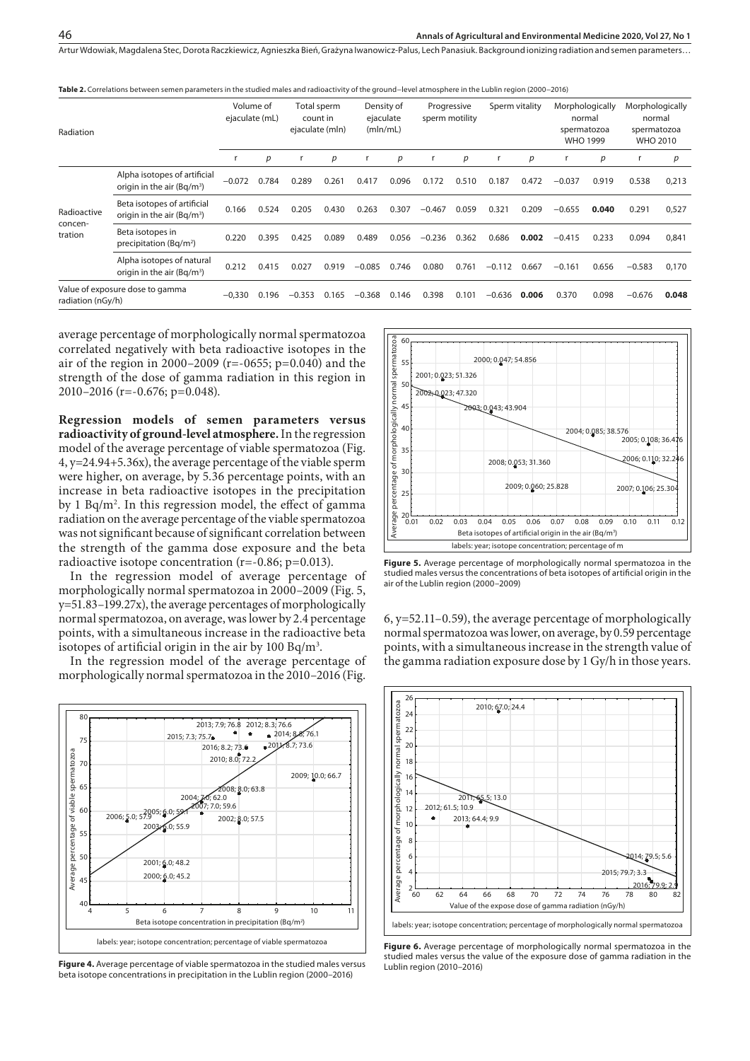Artur Wdowiak, Magdalena Stec, Dorota Raczkiewicz, Agnieszka Bień, Grażyna Iwanowicz-Palus, Lech Panasiuk . Background ionizing radiation and semen parameters…

**Table 2.** Correlations between semen parameters in the studied males and radioactivity of the ground−level atmosphere in the Lublin region (2000−2016)

| Radiation                                            |                                                                        | Volume of<br>ejaculate (mL) |       | Total sperm<br>count in<br>ejaculate (mln) |       | Density of<br>ejaculate<br>(mln/mL) |       | Progressive<br>sperm motility |       | Sperm vitality |       | Morphologically<br>normal<br>spermatozoa<br><b>WHO 1999</b> |       | Morphologically<br>normal<br>spermatozoa<br><b>WHO 2010</b> |       |
|------------------------------------------------------|------------------------------------------------------------------------|-----------------------------|-------|--------------------------------------------|-------|-------------------------------------|-------|-------------------------------|-------|----------------|-------|-------------------------------------------------------------|-------|-------------------------------------------------------------|-------|
|                                                      |                                                                        |                             | р     |                                            | р     |                                     | p     | r                             | p     |                | р     |                                                             | р     |                                                             | р     |
| Radioactive<br>concen-<br>tration                    | Alpha isotopes of artificial<br>origin in the air (Bq/m <sup>3</sup> ) | $-0.072$                    | 0.784 | 0.289                                      | 0.261 | 0.417                               | 0.096 | 0.172                         | 0.510 | 0.187          | 0.472 | $-0.037$                                                    | 0.919 | 0.538                                                       | 0,213 |
|                                                      | Beta isotopes of artificial<br>origin in the air (Bg/m <sup>3</sup> )  | 0.166                       | 0.524 | 0.205                                      | 0.430 | 0.263                               | 0.307 | $-0.467$                      | 0.059 | 0.321          | 0.209 | $-0.655$                                                    | 0.040 | 0.291                                                       | 0,527 |
|                                                      | Beta isotopes in<br>precipitation ( $Bq/m^2$ )                         | 0.220                       | 0.395 | 0.425                                      | 0.089 | 0.489                               | 0.056 | $-0.236$                      | 0.362 | 0.686          | 0.002 | $-0.415$                                                    | 0.233 | 0.094                                                       | 0,841 |
|                                                      | Alpha isotopes of natural<br>origin in the air $(Bq/m^3)$              | 0.212                       | 0.415 | 0.027                                      | 0.919 | $-0.085$                            | 0.746 | 0.080                         | 0.761 | $-0.112$       | 0.667 | $-0.161$                                                    | 0.656 | $-0.583$                                                    | 0,170 |
| Value of exposure dose to gamma<br>radiation (nGy/h) |                                                                        | $-0,330$                    | 0.196 | $-0.353$                                   | 0.165 | $-0.368$                            | 0.146 | 0.398                         | 0.101 | $-0.636$       | 0.006 | 0.370                                                       | 0.098 | $-0.676$                                                    | 0.048 |

average percentage of morphologically normal spermatozoa correlated negatively with beta radioactive isotopes in the air of the region in 2000–2009 (r=-0655; p=0.040) and the strength of the dose of gamma radiation in this region in 2010–2016 (r=-0.676; p=0.048).

**Regression models of semen parameters versus radioactivity of ground-level atmosphere.** In the regression model of the average percentage of viable spermatozoa (Fig. 4, y=24.94+5.36x), the average percentage of the viable sperm were higher, on average, by 5.36 percentage points, with an increase in beta radioactive isotopes in the precipitation by 1 Bq/m2 . In this regression model, the effect of gamma radiation on the average percentage of the viable spermatozoa was not significant because of significant correlation between the strength of the gamma dose exposure and the beta radioactive isotope concentration (r=-0.86; p=0.013).

In the regression model of average percentage of morphologically normal spermatozoa in 2000–2009 (Fig. 5, y=51.83–199.27x), the average percentages of morphologically normal spermatozoa, on average, was lower by 2.4 percentage points, with a simultaneous increase in the radioactive beta isotopes of artificial origin in the air by 100 Bq/m $^3\!$ .

In the regression model of the average percentage of morphologically normal spermatozoa in the 2010–2016 (Fig.



**Figure 4.** Average percentage of viable spermatozoa in the studied males versus beta isotope concentrations in precipitation in the Lublin region (2000–2016)



**Figure 5.** Average percentage of morphologically normal spermatozoa in the studied males versus the concentrations of beta isotopes of artificial origin in the air of the Lublin region (2000–2009)

6, y=52.11–0.59), the average percentage of morphologically normal spermatozoa was lower, on average, by 0.59 percentage points, with a simultaneous increase in the strength value of the gamma radiation exposure dose by 1 Gy/h in those years.



**Figure 6.** Average percentage of morphologically normal spermatozoa in the studied males versus the value of the exposure dose of gamma radiation in the Lublin region (2010–2016)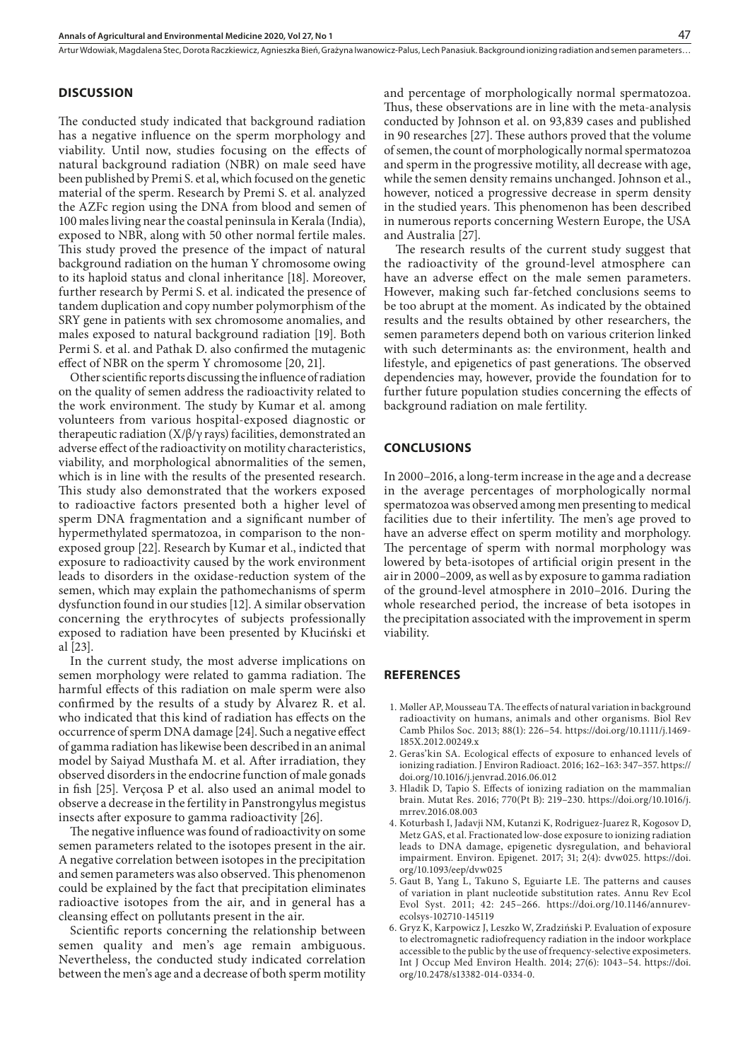Artur Wdowiak, Magdalena Stec, Dorota Raczkiewicz, Agnieszka Bień, Grażyna Iwanowicz-Palus, Lech Panasiuk . Background ionizing radiation and semen parameters…

## **DISCUSSION**

The conducted study indicated that background radiation has a negative influence on the sperm morphology and viability. Until now, studies focusing on the effects of natural background radiation (NBR) on male seed have been published by Premi S. et al, which focused on the genetic material of the sperm. Research by Premi S. et al. analyzed the AZFc region using the DNA from blood and semen of 100 males living near the coastal peninsula in Kerala (India), exposed to NBR, along with 50 other normal fertile males. This study proved the presence of the impact of natural background radiation on the human Y chromosome owing to its haploid status and clonal inheritance [18]. Moreover, further research by Permi S. et al. indicated the presence of tandem duplication and copy number polymorphism of the SRY gene in patients with sex chromosome anomalies, and males exposed to natural background radiation [19]. Both Permi S. et al. and Pathak D. also confirmed the mutagenic effect of NBR on the sperm Y chromosome [20, 21].

Other scientific reports discussing the influence of radiation on the quality of semen address the radioactivity related to the work environment. The study by Kumar et al. among volunteers from various hospital-exposed diagnostic or therapeutic radiation (X/β/γ rays) facilities, demonstrated an adverse effect of the radioactivity on motility characteristics, viability, and morphological abnormalities of the semen, which is in line with the results of the presented research. This study also demonstrated that the workers exposed to radioactive factors presented both a higher level of sperm DNA fragmentation and a significant number of hypermethylated spermatozoa, in comparison to the nonexposed group [22]. Research by Kumar et al., indicted that exposure to radioactivity caused by the work environment leads to disorders in the oxidase-reduction system of the semen, which may explain the pathomechanisms of sperm dysfunction found in our studies [12]. A similar observation concerning the erythrocytes of subjects professionally exposed to radiation have been presented by Kłuciński et al [23].

In the current study, the most adverse implications on semen morphology were related to gamma radiation. The harmful effects of this radiation on male sperm were also confirmed by the results of a study by Alvarez R. et al. who indicated that this kind of radiation has effects on the occurrence of sperm DNA damage [24]. Such a negative effect of gamma radiation has likewise been described in an animal model by Saiyad Musthafa M. et al. After irradiation, they observed disorders in the endocrine function of male gonads in fish [25]. Verçosa P et al. also used an animal model to observe a decrease in the fertility in Panstrongylus megistus insects after exposure to gamma radioactivity [26].

The negative influence was found of radioactivity on some semen parameters related to the isotopes present in the air. A negative correlation between isotopes in the precipitation and semen parameters was also observed. This phenomenon could be explained by the fact that precipitation eliminates radioactive isotopes from the air, and in general has a cleansing effect on pollutants present in the air.

Scientific reports concerning the relationship between semen quality and men's age remain ambiguous. Nevertheless, the conducted study indicated correlation between the men's age and a decrease of both sperm motility

and percentage of morphologically normal spermatozoa. Thus, these observations are in line with the meta-analysis conducted by Johnson et al. on 93,839 cases and published in 90 researches [27]. These authors proved that the volume of semen, the count of morphologically normal spermatozoa and sperm in the progressive motility, all decrease with age, while the semen density remains unchanged. Johnson et al., however, noticed a progressive decrease in sperm density in the studied years. This phenomenon has been described in numerous reports concerning Western Europe, the USA and Australia [27].

The research results of the current study suggest that the radioactivity of the ground-level atmosphere can have an adverse effect on the male semen parameters. However, making such far-fetched conclusions seems to be too abrupt at the moment. As indicated by the obtained results and the results obtained by other researchers, the semen parameters depend both on various criterion linked with such determinants as: the environment, health and lifestyle, and epigenetics of past generations. The observed dependencies may, however, provide the foundation for to further future population studies concerning the effects of background radiation on male fertility.

#### **CONCLUSIONS**

In 2000–2016, a long-term increase in the age and a decrease in the average percentages of morphologically normal spermatozoa was observed among men presenting to medical facilities due to their infertility. The men's age proved to have an adverse effect on sperm motility and morphology. The percentage of sperm with normal morphology was lowered by beta-isotopes of artificial origin present in the air in 2000–2009, as well as by exposure to gamma radiation of the ground-level atmosphere in 2010–2016. During the whole researched period, the increase of beta isotopes in the precipitation associated with the improvement in sperm viability.

#### **REFERENCES**

- 1. Møller AP, Mousseau TA. The effects of natural variation in background radioactivity on humans, animals and other organisms. Biol Rev Camb Philos Soc. 2013; 88(1): 226–54. https://doi.org/10.1111/j.1469- 185X.2012.00249.x
- 2. Geras'kin SA. Ecological effects of exposure to enhanced levels of ionizing radiation. J Environ Radioact. 2016; 162–163: 347–357. https:// doi.org/10.1016/j.jenvrad.2016.06.012
- 3. Hladik D, Tapio S. Effects of ionizing radiation on the mammalian brain. Mutat Res. 2016; 770(Pt B): 219–230. https://doi.org/10.1016/j. mrrev.2016.08.003
- 4. Koturbash I, Jadavji NM, Kutanzi K, Rodriguez-Juarez R, Kogosov D, Metz GAS, et al. Fractionated low-dose exposure to ionizing radiation leads to DNA damage, epigenetic dysregulation, and behavioral impairment. Environ. Epigenet. 2017; 31; 2(4): dvw025. https://doi. org/10.1093/eep/dvw025
- 5. Gaut B, Yang L, Takuno S, Eguiarte LE. The patterns and causes of variation in plant nucleotide substitution rates. Annu Rev Ecol Evol Syst. 2011; 42: 245–266. https://doi.org/10.1146/annurevecolsys-102710-145119
- 6. Gryz K, Karpowicz J, Leszko W, Zradziński P. Evaluation of exposure to electromagnetic radiofrequency radiation in the indoor workplace accessible to the public by the use of frequency-selective exposimeters. Int J Occup Med Environ Health. 2014; 27(6): 1043–54. https://doi. org/10.2478/s13382-014-0334-0.